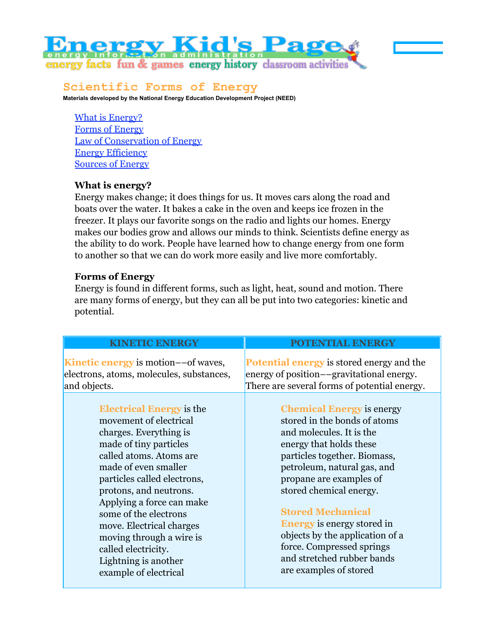# **ergy Kid's Page** energy facts fun & games energy history classroom activities

glossarv

# **Scientific Forms of Energy**

**Materials developed by the National Energy Education Development Project (NEED)**

What is Energy? Forms of Energy Law of Conservation of Energy Energy Efficiency Sources of Energy

## **What is energy?**

Energy makes change; it does things for us. It moves cars along the road and boats over the water. It bakes a cake in the oven and keeps ice frozen in the freezer. It plays our favorite songs on the radio and lights our homes. Energy makes our bodies grow and allows our minds to think. Scientists define energy as the ability to do work. People have learned how to change energy from one form to another so that we can do work more easily and live more comfortably.

## **Forms of Energy**

Energy is found in different forms, such as light, heat, sound and motion. There are many forms of energy, but they can all be put into two categories: kinetic and potential.

# **KINETIC ENERGY**

**Kinetic energy** is motion––of waves, electrons, atoms, molecules, substances, and objects.

> **Electrical Energy** is the movement of electrical charges. Everything is made of tiny particles called atoms. Atoms are made of even smaller particles called electrons, protons, and neutrons. Applying a force can make some of the electrons move. Electrical charges moving through a wire is called electricity. Lightning is another example of electrical

## **POTENTIAL ENERGY**

**Potential energy** is stored energy and the energy of position––gravitational energy. There are several forms of potential energy.

> **Chemical Energy** is energy stored in the bonds of atoms and molecules. It is the energy that holds these particles together. Biomass, petroleum, natural gas, and propane are examples of stored chemical energy.

# **Stored Mechanical**

**Energy** is energy stored in objects by the application of a force. Compressed springs and stretched rubber bands are examples of stored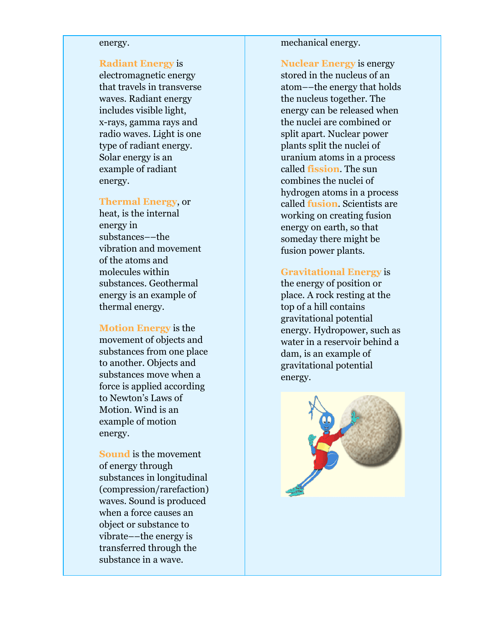#### energy.

#### **Radiant Energy** is

electromagnetic energy that travels in transverse waves. Radiant energy includes visible light, x-rays, gamma rays and radio waves. Light is one type of radiant energy. Solar energy is an example of radiant energy.

#### **Thermal Energy**, or

heat, is the internal energy in substances––the vibration and movement of the atoms and molecules within substances. Geothermal energy is an example of thermal energy.

**Motion Energy** is the movement of objects and substances from one place to another. Objects and substances move when a force is applied according to Newton's Laws of Motion. Wind is an example of motion energy.

**Sound** is the movement of energy through substances in longitudinal (compression/rarefaction) waves. Sound is produced when a force causes an object or substance to vibrate––the energy is transferred through the substance in a wave.

mechanical energy.

**Nuclear Energy** is energy stored in the nucleus of an atom––the energy that holds the nucleus together. The energy can be released when the nuclei are combined or split apart. Nuclear power plants split the nuclei of uranium atoms in a process called **fission**. The sun combines the nuclei of hydrogen atoms in a process called **fusion**. Scientists are working on creating fusion energy on earth, so that someday there might be fusion power plants.

### **Gravitational Energy** is

the energy of position or place. A rock resting at the top of a hill contains gravitational potential energy. Hydropower, such as water in a reservoir behind a dam, is an example of gravitational potential energy.

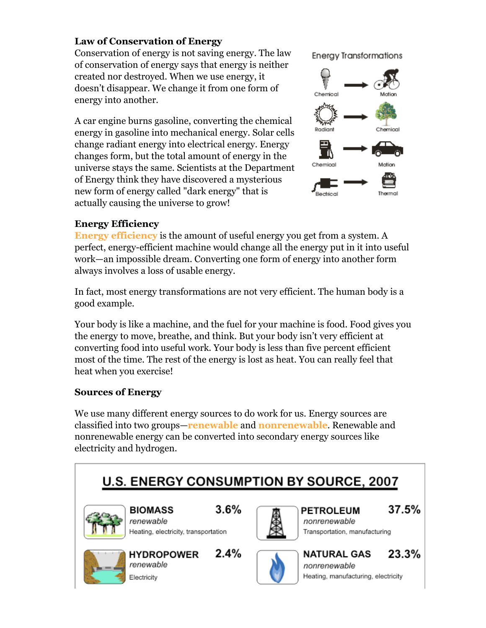# **Law of Conservation of Energy**

Conservation of energy is not saving energy. The law of conservation of energy says that energy is neither created nor destroyed. When we use energy, it doesn't disappear. We change it from one form of energy into another.

A car engine burns gasoline, converting the chemical energy in gasoline into mechanical energy. Solar cells change radiant energy into electrical energy. Energy changes form, but the total amount of energy in the universe stays the same. Scientists at the Department of Energy think they have discovered a mysterious new form of energy called "dark energy" that is actually causing the universe to grow!

**Energy Transformations** 



# **Energy Efficiency**

**Energy efficiency** is the amount of useful energy you get from a system. A perfect, energy-efficient machine would change all the energy put in it into useful work—an impossible dream. Converting one form of energy into another form always involves a loss of usable energy.

In fact, most energy transformations are not very efficient. The human body is a good example.

Your body is like a machine, and the fuel for your machine is food. Food gives you the energy to move, breathe, and think. But your body isn't very efficient at converting food into useful work. Your body is less than five percent efficient most of the time. The rest of the energy is lost as heat. You can really feel that heat when you exercise!

# **Sources of Energy**

We use many different energy sources to do work for us. Energy sources are classified into two groups—**renewable** and **nonrenewable**. Renewable and nonrenewable energy can be converted into secondary energy sources like electricity and hydrogen.